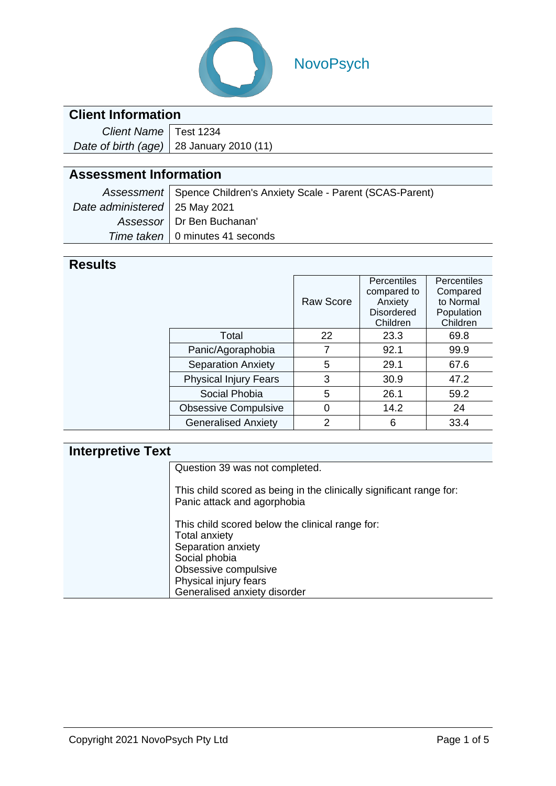

# NovoPsych

## **Client Information**

| Client Name   Test 1234 |                                                  |
|-------------------------|--------------------------------------------------|
|                         | Date of birth (age) $\vert$ 28 January 2010 (11) |

# **Assessment Information**

| Assessment   Spence Children's Anxiety Scale - Parent (SCAS-Parent) |                                   |  |
|---------------------------------------------------------------------|-----------------------------------|--|
| Date administered   25 May 2021                                     |                                   |  |
|                                                                     | Assessor   Dr Ben Buchanan'       |  |
|                                                                     | Time taken   0 minutes 41 seconds |  |

### **Results**

|                              | <b>Raw Score</b> | Percentiles<br>compared to<br>Anxiety<br><b>Disordered</b><br>Children | <b>Percentiles</b><br>Compared<br>to Normal<br>Population<br>Children |
|------------------------------|------------------|------------------------------------------------------------------------|-----------------------------------------------------------------------|
| Total                        | 22               | 23.3                                                                   | 69.8                                                                  |
| Panic/Agoraphobia            | 7                | 92.1                                                                   | 99.9                                                                  |
| <b>Separation Anxiety</b>    | 5                | 29.1                                                                   | 67.6                                                                  |
| <b>Physical Injury Fears</b> | 3                | 30.9                                                                   | 47.2                                                                  |
| Social Phobia                | 5                | 26.1                                                                   | 59.2                                                                  |
| <b>Obsessive Compulsive</b>  | 0                | 14.2                                                                   | 24                                                                    |
| <b>Generalised Anxiety</b>   | 2                | 6                                                                      | 33.4                                                                  |
|                              |                  |                                                                        |                                                                       |

# **Interpretive Text**

| Question 39 was not completed.                                                                                 |
|----------------------------------------------------------------------------------------------------------------|
| This child scored as being in the clinically significant range for:<br>Panic attack and agorphobia             |
| This child scored below the clinical range for:<br><b>Total anxiety</b><br>Separation anxiety<br>Social phobia |
| Obsessive compulsive                                                                                           |
| Physical injury fears                                                                                          |
| Generalised anxiety disorder                                                                                   |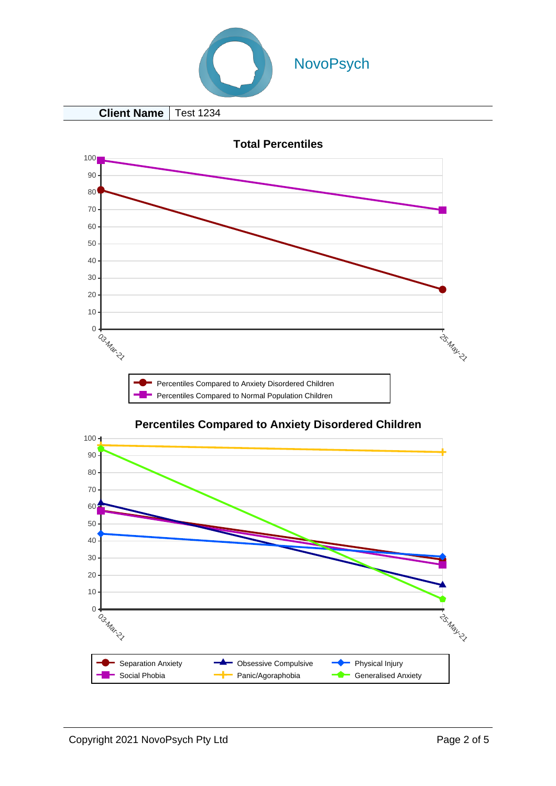

**Client Name** | Test 1234



#### **Percentiles Compared to Anxiety Disordered Children**

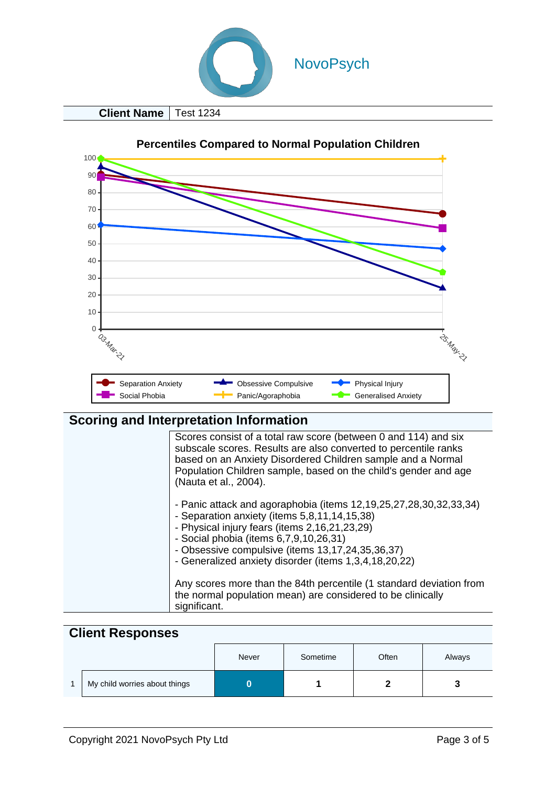

**Client Name Test 1234** 



### **Scoring and Interpretation Information**

| Scores consist of a total raw score (between 0 and 114) and six<br>subscale scores. Results are also converted to percentile ranks<br>based on an Anxiety Disordered Children sample and a Normal<br>Population Children sample, based on the child's gender and age<br>(Nauta et al., 2004).                             |
|---------------------------------------------------------------------------------------------------------------------------------------------------------------------------------------------------------------------------------------------------------------------------------------------------------------------------|
| - Panic attack and agoraphobia (items 12,19,25,27,28,30,32,33,34)<br>- Separation anxiety (items 5,8,11,14,15,38)<br>- Physical injury fears (items 2,16,21,23,29)<br>- Social phobia (items 6,7,9,10,26,31)<br>- Obsessive compulsive (items 13,17,24,35,36,37)<br>- Generalized anxiety disorder (items 1,3,4,18,20,22) |
| Any scores more than the 84th percentile (1 standard deviation from<br>the normal population mean) are considered to be clinically<br>significant.                                                                                                                                                                        |

| <b>Client Responses</b> |                               |       |          |       |        |
|-------------------------|-------------------------------|-------|----------|-------|--------|
|                         |                               | Never | Sometime | Often | Always |
|                         | My child worries about things | 0     |          |       | 3      |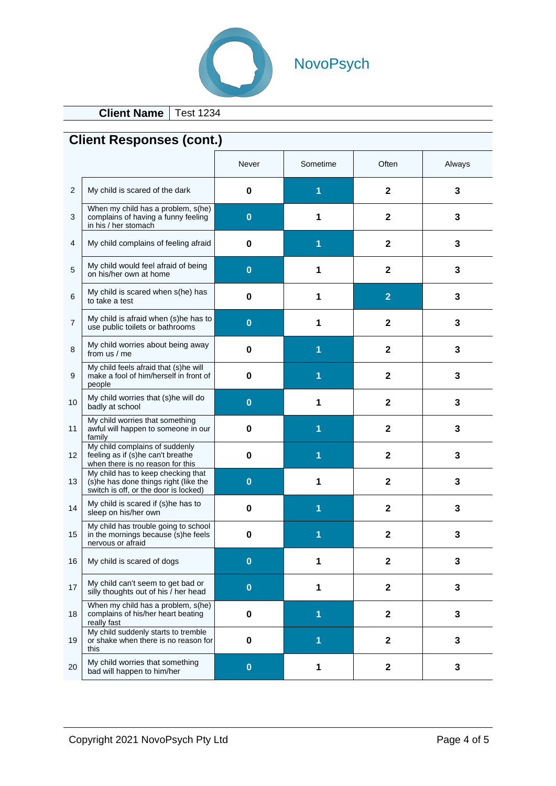

**Client Name** Test 1234

| <b>Client Responses (cont.)</b> |                                                                                                                      |          |          |                         |        |
|---------------------------------|----------------------------------------------------------------------------------------------------------------------|----------|----------|-------------------------|--------|
|                                 |                                                                                                                      | Never    | Sometime | Often                   | Always |
| $\overline{c}$                  | My child is scared of the dark                                                                                       | $\bf{0}$ | 1        | $\mathbf 2$             | 3      |
| 3                               | When my child has a problem, s(he)<br>complains of having a funny feeling<br>in his / her stomach                    | $\bf{0}$ |          | $\mathbf 2$             | 3      |
| 4                               | My child complains of feeling afraid                                                                                 | 0        |          | $\mathbf 2$             | 3      |
| 5                               | My child would feel afraid of being<br>on his/her own at home                                                        | $\bf{0}$ | 1        | 2                       | 3      |
| 6                               | My child is scared when s(he) has<br>to take a test                                                                  | 0        | 1        | $\overline{2}$          | 3      |
| 7                               | My child is afraid when (s)he has to<br>use public toilets or bathrooms                                              | $\bf{0}$ | 1        | $\overline{2}$          | 3      |
| 8                               | My child worries about being away<br>from us / me                                                                    | 0        |          | $\mathbf 2$             | 3      |
| 9                               | My child feels afraid that (s)he will<br>make a fool of him/herself in front of<br>people                            | 0        |          | $\mathbf 2$             | 3      |
| 10                              | My child worries that (s)he will do<br>badly at school                                                               | $\bf{0}$ |          | $\mathbf 2$             | 3      |
| 11                              | My child worries that something<br>awful will happen to someone in our<br>family                                     | 0        |          | $\mathbf{2}$            | 3      |
| 12                              | My child complains of suddenly<br>feeling as if (s)he can't breathe<br>when there is no reason for this              | 0        | 1        | $\mathbf{2}$            | 3      |
| 13                              | My child has to keep checking that<br>(s)he has done things right (like the<br>switch is off, or the door is locked) | $\bf{0}$ | 1        | 2                       | 3      |
| 14                              | My child is scared if (s)he has to<br>sleep on his/her own                                                           | $\bf{0}$ |          | $\mathbf{2}$            | 3      |
| 15                              | My child has trouble going to school<br>in the mornings because $(s)$ he feels<br>nervous or afraid                  | 0        |          | 2                       | 3      |
| 16                              | My child is scared of dogs                                                                                           | $\bf{0}$ | 1        | $\mathbf 2$             | 3      |
| 17                              | My child can't seem to get bad or<br>silly thoughts out of his / her head                                            | $\bf{0}$ | 1        | $\mathbf 2$             | 3      |
| 18                              | When my child has a problem, s(he)<br>complains of his/her heart beating<br>really fast                              | 0        |          | $\overline{\mathbf{2}}$ | 3      |
| 19                              | My child suddenly starts to tremble<br>or shake when there is no reason for<br>this                                  | 0        | 1        | $\mathbf 2$             | 3      |
| 20                              | My child worries that something<br>bad will happen to him/her                                                        | $\bf{0}$ | 1        | $\mathbf 2$             | 3      |